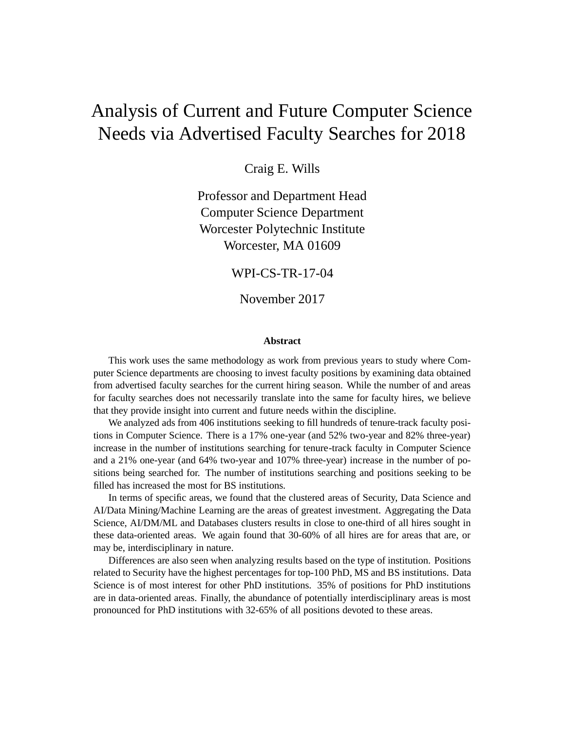# Analysis of Current and Future Computer Science Needs via Advertised Faculty Searches for 2018

Craig E. Wills

Professor and Department Head Computer Science Department Worcester Polytechnic Institute Worcester, MA 01609

WPI-CS-TR-17-04

November 2017

#### **Abstract**

This work uses the same methodology as work from previous years to study where Computer Science departments are choosing to invest faculty positions by examining data obtained from advertised faculty searches for the current hiring season. While the number of and areas for faculty searches does not necessarily translate into the same for faculty hires, we believe that they provide insight into current and future needs within the discipline.

We analyzed ads from 406 institutions seeking to fill hundreds of tenure-track faculty positions in Computer Science. There is a 17% one-year (and 52% two-year and 82% three-year) increase in the number of institutions searching for tenure-track faculty in Computer Science and a 21% one-year (and 64% two-year and 107% three-year) increase in the number of positions being searched for. The number of institutions searching and positions seeking to be filled has increased the most for BS institutions.

In terms of specific areas, we found that the clustered areas of Security, Data Science and AI/Data Mining/Machine Learning are the areas of greatest investment. Aggregating the Data Science, AI/DM/ML and Databases clusters results in close to one-third of all hires sought in these data-oriented areas. We again found that 30-60% of all hires are for areas that are, or may be, interdisciplinary in nature.

Differences are also seen when analyzing results based on the type of institution. Positions related to Security have the highest percentages for top-100 PhD, MS and BS institutions. Data Science is of most interest for other PhD institutions. 35% of positions for PhD institutions are in data-oriented areas. Finally, the abundance of potentially interdisciplinary areas is most pronounced for PhD institutions with 32-65% of all positions devoted to these areas.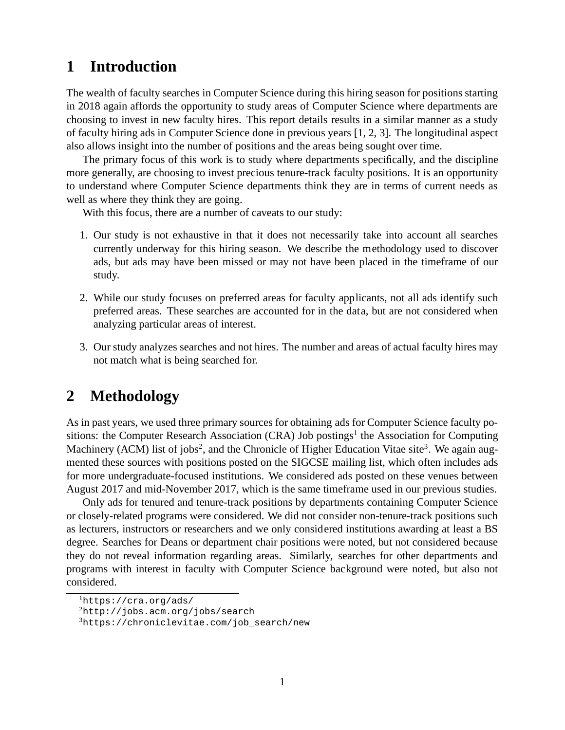## **1 Introduction**

The wealth of faculty searches in Computer Science during this hiring season for positions starting in 2018 again affords the opportunity to study areas of Computer Science where departments are choosing to invest in new faculty hires. This report details results in a similar manner as a study of faculty hiring ads in Computer Science done in previous years [1, 2, 3]. The longitudinal aspect also allows insight into the number of positions and the areas being sought over time.

The primary focus of this work is to study where departments specifically, and the discipline more generally, are choosing to invest precious tenure-track faculty positions. It is an opportunity to understand where Computer Science departments think they are in terms of current needs as well as where they think they are going.

With this focus, there are a number of caveats to our study:

- 1. Our study is not exhaustive in that it does not necessarily take into account all searches currently underway for this hiring season. We describe the methodology used to discover ads, but ads may have been missed or may not have been placed in the timeframe of our study.
- 2. While our study focuses on preferred areas for faculty applicants, not all ads identify such preferred areas. These searches are accounted for in the data, but are not considered when analyzing particular areas of interest.
- 3. Our study analyzes searches and not hires. The number and areas of actual faculty hires may not match what is being searched for.

### **2 Methodology**

As in past years, we used three primary sources for obtaining ads for Computer Science faculty positions: the Computer Research Association (CRA) Job postings<sup>1</sup> the Association for Computing Machinery (ACM) list of jobs<sup>2</sup>, and the Chronicle of Higher Education Vitae site<sup>3</sup>. We again augmented these sources with positions posted on the SIGCSE mailing list, which often includes ads for more undergraduate-focused institutions. We considered ads posted on these venues between August 2017 and mid-November 2017, which is the same timeframe used in our previous studies.

Only ads for tenured and tenure-track positions by departments containing Computer Science or closely-related programs were considered. We did not consider non-tenure-track positions such as lecturers, instructors or researchers and we only considered institutions awarding at least a BS degree. Searches for Deans or department chair positions were noted, but not considered because they do not reveal information regarding areas. Similarly, searches for other departments and programs with interest in faculty with Computer Science background were noted, but also not considered.

<sup>1</sup>https://cra.org/ads/

<sup>2</sup>http://jobs.acm.org/jobs/search

 $3$ https://chroniclevitae.com/job\_search/new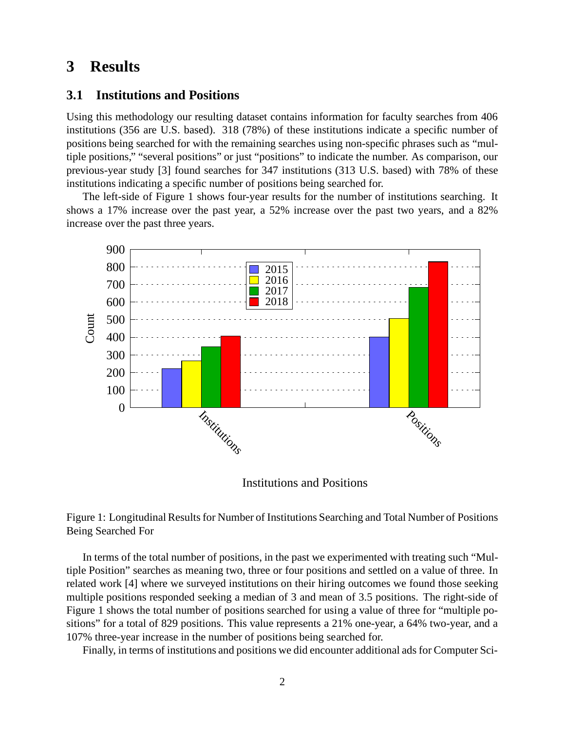### **3 Results**

#### **3.1 Institutions and Positions**

Using this methodology our resulting dataset contains information for faculty searches from 406 institutions (356 are U.S. based). 318 (78%) of these institutions indicate a specific number of positions being searched for with the remaining searches using non-specific phrases such as "multiple positions," "several positions" or just "positions" to indicate the number. As comparison, our previous-year study [3] found searches for 347 institutions (313 U.S. based) with 78% of these institutions indicating a specific number of positions being searched for.

The left-side of Figure 1 shows four-year results for the number of institutions searching. It shows a 17% increase over the past year, a 52% increase over the past two years, and a 82% increase over the past three years.



Institutions and Positions

Figure 1: Longitudinal Results for Number of Institutions Searching and Total Number of Positions Being Searched For

In terms of the total number of positions, in the past we experimented with treating such "Multiple Position" searches as meaning two, three or four positions and settled on a value of three. In related work [4] where we surveyed institutions on their hiring outcomes we found those seeking multiple positions responded seeking a median of 3 and mean of 3.5 positions. The right-side of Figure 1 shows the total number of positions searched for using a value of three for "multiple positions" for a total of 829 positions. This value represents a 21% one-year, a 64% two-year, and a 107% three-year increase in the number of positions being searched for.

Finally, in terms of institutions and positions we did encounter additional ads for Computer Sci-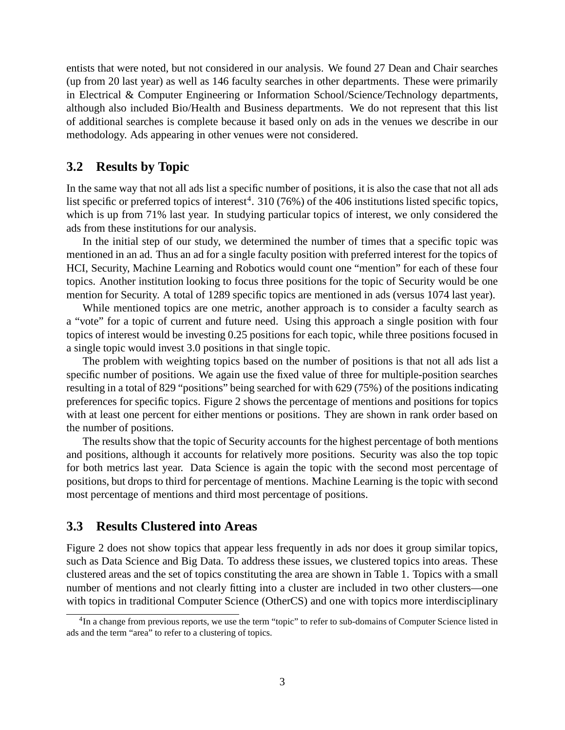entists that were noted, but not considered in our analysis. We found 27 Dean and Chair searches (up from 20 last year) as well as 146 faculty searches in other departments. These were primarily in Electrical & Computer Engineering or Information School/Science/Technology departments, although also included Bio/Health and Business departments. We do not represent that this list of additional searches is complete because it based only on ads in the venues we describe in our methodology. Ads appearing in other venues were not considered.

#### **3.2 Results by Topic**

In the same way that not all ads list a specific number of positions, it is also the case that not all ads list specific or preferred topics of interest<sup>4</sup>. 310 (76%) of the 406 institutions listed specific topics, which is up from 71% last year. In studying particular topics of interest, we only considered the ads from these institutions for our analysis.

In the initial step of our study, we determined the number of times that a specific topic was mentioned in an ad. Thus an ad for a single faculty position with preferred interest for the topics of HCI, Security, Machine Learning and Robotics would count one "mention" for each of these four topics. Another institution looking to focus three positions for the topic of Security would be one mention for Security. A total of 1289 specific topics are mentioned in ads (versus 1074 last year).

While mentioned topics are one metric, another approach is to consider a faculty search as a "vote" for a topic of current and future need. Using this approach a single position with four topics of interest would be investing 0.25 positions for each topic, while three positions focused in a single topic would invest 3.0 positions in that single topic.

The problem with weighting topics based on the number of positions is that not all ads list a specific number of positions. We again use the fixed value of three for multiple-position searches resulting in a total of 829 "positions" being searched for with 629 (75%) of the positions indicating preferences for specific topics. Figure 2 shows the percentage of mentions and positions for topics with at least one percent for either mentions or positions. They are shown in rank order based on the number of positions.

The results show that the topic of Security accounts for the highest percentage of both mentions and positions, although it accounts for relatively more positions. Security was also the top topic for both metrics last year. Data Science is again the topic with the second most percentage of positions, but drops to third for percentage of mentions. Machine Learning is the topic with second most percentage of mentions and third most percentage of positions.

#### **3.3 Results Clustered into Areas**

Figure 2 does not show topics that appear less frequently in ads nor does it group similar topics, such as Data Science and Big Data. To address these issues, we clustered topics into areas. These clustered areas and the set of topics constituting the area are shown in Table 1. Topics with a small number of mentions and not clearly fitting into a cluster are included in two other clusters—one with topics in traditional Computer Science (OtherCS) and one with topics more interdisciplinary

<sup>&</sup>lt;sup>4</sup>In a change from previous reports, we use the term "topic" to refer to sub-domains of Computer Science listed in ads and the term "area" to refer to a clustering of topics.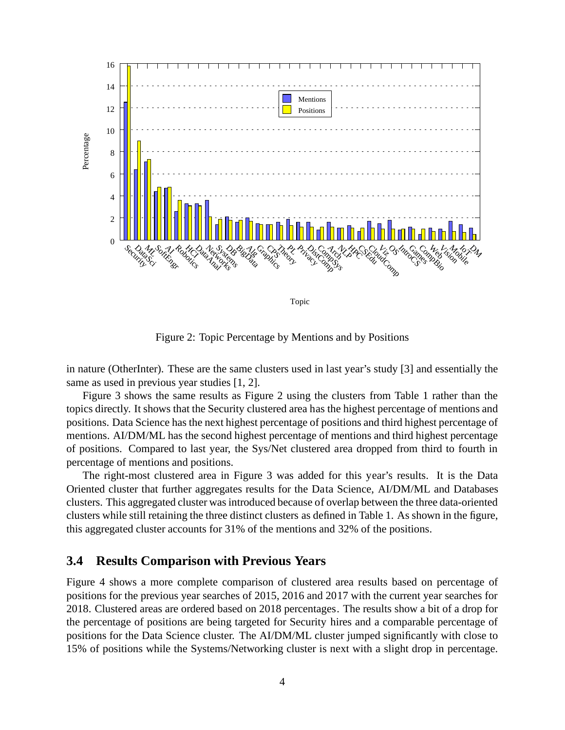

Figure 2: Topic Percentage by Mentions and by Positions

in nature (OtherInter). These are the same clusters used in last year's study [3] and essentially the same as used in previous year studies [1, 2].

Figure 3 shows the same results as Figure 2 using the clusters from Table 1 rather than the topics directly. It shows that the Security clustered area has the highest percentage of mentions and positions. Data Science has the next highest percentage of positions and third highest percentage of mentions. AI/DM/ML has the second highest percentage of mentions and third highest percentage of positions. Compared to last year, the Sys/Net clustered area dropped from third to fourth in percentage of mentions and positions.

The right-most clustered area in Figure 3 was added for this year's results. It is the Data Oriented cluster that further aggregates results for the Data Science, AI/DM/ML and Databases clusters. This aggregated cluster was introduced because of overlap between the three data-oriented clusters while still retaining the three distinct clusters as defined in Table 1. As shown in the figure, this aggregated cluster accounts for 31% of the mentions and 32% of the positions.

#### **3.4 Results Comparison with Previous Years**

Figure 4 shows a more complete comparison of clustered area results based on percentage of positions for the previous year searches of 2015, 2016 and 2017 with the current year searches for 2018. Clustered areas are ordered based on 2018 percentages. The results show a bit of a drop for the percentage of positions are being targeted for Security hires and a comparable percentage of positions for the Data Science cluster. The AI/DM/ML cluster jumped significantly with close to 15% of positions while the Systems/Networking cluster is next with a slight drop in percentage.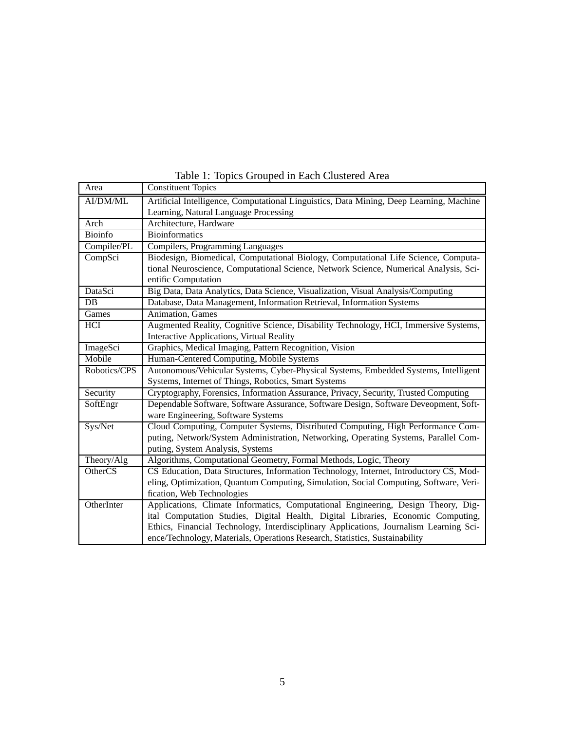| Area           | <b>Constituent Topics</b>                                                               |  |  |  |  |  |  |
|----------------|-----------------------------------------------------------------------------------------|--|--|--|--|--|--|
| AI/DM/ML       | Artificial Intelligence, Computational Linguistics, Data Mining, Deep Learning, Machine |  |  |  |  |  |  |
|                | Learning, Natural Language Processing                                                   |  |  |  |  |  |  |
| Arch           | Architecture, Hardware                                                                  |  |  |  |  |  |  |
| <b>Bioinfo</b> | <b>Bioinformatics</b>                                                                   |  |  |  |  |  |  |
| Compiler/PL    | Compilers, Programming Languages                                                        |  |  |  |  |  |  |
| CompSci        | Biodesign, Biomedical, Computational Biology, Computational Life Science, Computa-      |  |  |  |  |  |  |
|                | tional Neuroscience, Computational Science, Network Science, Numerical Analysis, Sci-   |  |  |  |  |  |  |
|                | entific Computation                                                                     |  |  |  |  |  |  |
| DataSci        | Big Data, Data Analytics, Data Science, Visualization, Visual Analysis/Computing        |  |  |  |  |  |  |
| DB             | Database, Data Management, Information Retrieval, Information Systems                   |  |  |  |  |  |  |
| Games          | Animation, Games                                                                        |  |  |  |  |  |  |
| HCI            | Augmented Reality, Cognitive Science, Disability Technology, HCI, Immersive Systems,    |  |  |  |  |  |  |
|                | <b>Interactive Applications, Virtual Reality</b>                                        |  |  |  |  |  |  |
| ImageSci       | Graphics, Medical Imaging, Pattern Recognition, Vision                                  |  |  |  |  |  |  |
| Mobile         | Human-Centered Computing, Mobile Systems                                                |  |  |  |  |  |  |
| Robotics/CPS   | Autonomous/Vehicular Systems, Cyber-Physical Systems, Embedded Systems, Intelligent     |  |  |  |  |  |  |
|                | Systems, Internet of Things, Robotics, Smart Systems                                    |  |  |  |  |  |  |
| Security       | Cryptography, Forensics, Information Assurance, Privacy, Security, Trusted Computing    |  |  |  |  |  |  |
| SoftEngr       | Dependable Software, Software Assurance, Software Design, Software Deveopment, Soft-    |  |  |  |  |  |  |
|                | ware Engineering, Software Systems                                                      |  |  |  |  |  |  |
| Sys/Net        | Cloud Computing, Computer Systems, Distributed Computing, High Performance Com-         |  |  |  |  |  |  |
|                | puting, Network/System Administration, Networking, Operating Systems, Parallel Com-     |  |  |  |  |  |  |
|                | puting, System Analysis, Systems                                                        |  |  |  |  |  |  |
| Theory/Alg     | Algorithms, Computational Geometry, Formal Methods, Logic, Theory                       |  |  |  |  |  |  |
| <b>OtherCS</b> | CS Education, Data Structures, Information Technology, Internet, Introductory CS, Mod-  |  |  |  |  |  |  |
|                | eling, Optimization, Quantum Computing, Simulation, Social Computing, Software, Veri-   |  |  |  |  |  |  |
|                | fication, Web Technologies                                                              |  |  |  |  |  |  |
| OtherInter     | Applications, Climate Informatics, Computational Engineering, Design Theory, Dig-       |  |  |  |  |  |  |
|                | ital Computation Studies, Digital Health, Digital Libraries, Economic Computing,        |  |  |  |  |  |  |
|                | Ethics, Financial Technology, Interdisciplinary Applications, Journalism Learning Sci-  |  |  |  |  |  |  |
|                | ence/Technology, Materials, Operations Research, Statistics, Sustainability             |  |  |  |  |  |  |

Table 1: Topics Grouped in Each Clustered Area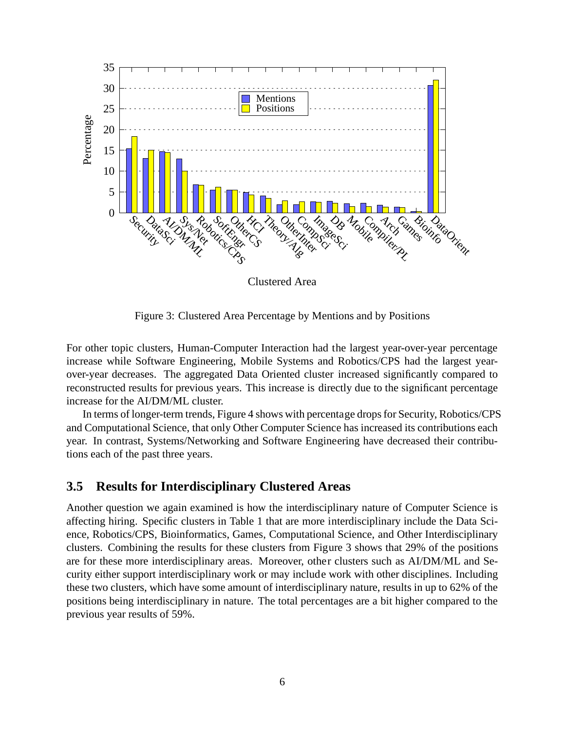

Figure 3: Clustered Area Percentage by Mentions and by Positions

For other topic clusters, Human-Computer Interaction had the largest year-over-year percentage increase while Software Engineering, Mobile Systems and Robotics/CPS had the largest yearover-year decreases. The aggregated Data Oriented cluster increased significantly compared to reconstructed results for previous years. This increase is directly due to the significant percentage increase for the AI/DM/ML cluster.

In terms of longer-term trends, Figure 4 shows with percentage drops for Security, Robotics/CPS and Computational Science, that only Other Computer Science has increased its contributions each year. In contrast, Systems/Networking and Software Engineering have decreased their contributions each of the past three years.

### **3.5 Results for Interdisciplinary Clustered Areas**

Another question we again examined is how the interdisciplinary nature of Computer Science is affecting hiring. Specific clusters in Table 1 that are more interdisciplinary include the Data Science, Robotics/CPS, Bioinformatics, Games, Computational Science, and Other Interdisciplinary clusters. Combining the results for these clusters from Figure 3 shows that 29% of the positions are for these more interdisciplinary areas. Moreover, other clusters such as AI/DM/ML and Security either support interdisciplinary work or may include work with other disciplines. Including these two clusters, which have some amount of interdisciplinary nature, results in up to 62% of the positions being interdisciplinary in nature. The total percentages are a bit higher compared to the previous year results of 59%.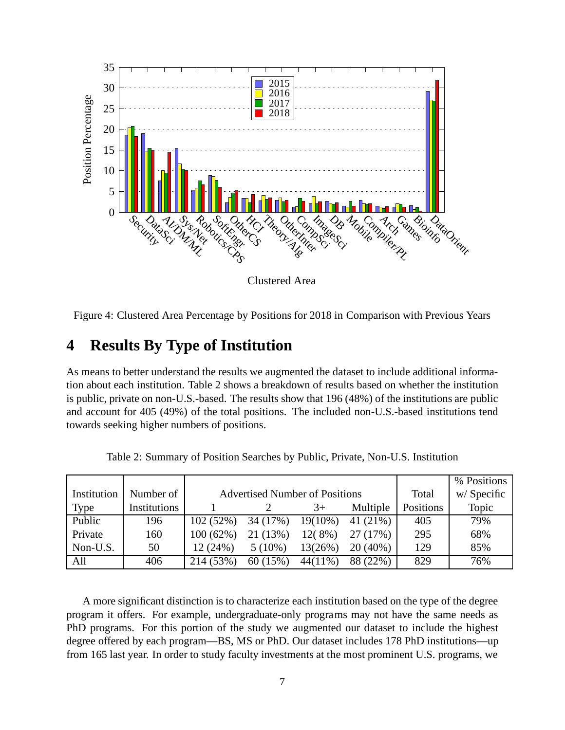

Clustered Area

Figure 4: Clustered Area Percentage by Positions for 2018 in Comparison with Previous Years

### **4 Results By Type of Institution**

As means to better understand the results we augmented the dataset to include additional information about each institution. Table 2 shows a breakdown of results based on whether the institution is public, private on non-U.S.-based. The results show that 196 (48%) of the institutions are public and account for 405 (49%) of the total positions. The included non-U.S.-based institutions tend towards seeking higher numbers of positions.

|             |              |             |                                       |            |            |           | % Positions |
|-------------|--------------|-------------|---------------------------------------|------------|------------|-----------|-------------|
| Institution | Number of    |             | <b>Advertised Number of Positions</b> | Total      | w/Specific |           |             |
| <b>Type</b> | Institutions |             |                                       | $3+$       | Multiple   | Positions | Topic       |
| Public      | 196          | 102(52%)    | 34 (17%)                              | $19(10\%)$ | 41 (21%)   | 405       | 79%         |
| Private     | 160          | $100(62\%)$ | 21 (13%)                              | $12(8\%)$  | 27(17%)    | 295       | 68%         |
| Non-U.S.    | 50           | 12(24%)     | $5(10\%)$                             | 13(26%)    | $20(40\%)$ | 129       | 85%         |
| All         | 406          | 214 (53%)   | 60(15%)                               | $44(11\%)$ | 88 (22%)   | 829       | 76%         |

Table 2: Summary of Position Searches by Public, Private, Non-U.S. Institution

A more significant distinction is to characterize each institution based on the type of the degree program it offers. For example, undergraduate-only programs may not have the same needs as PhD programs. For this portion of the study we augmented our dataset to include the highest degree offered by each program—BS, MS or PhD. Our dataset includes 178 PhD institutions—up from 165 last year. In order to study faculty investments at the most prominent U.S. programs, we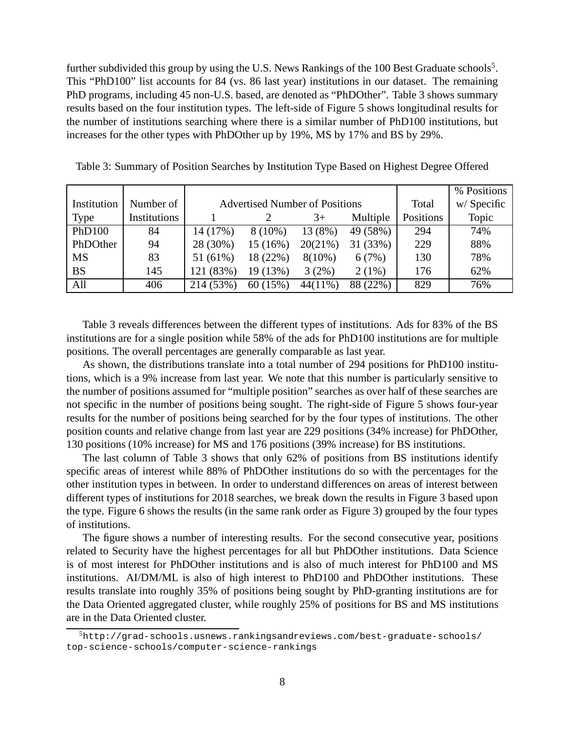further subdivided this group by using the U.S. News Rankings of the 100 Best Graduate schools<sup>5</sup>. This "PhD100" list accounts for 84 (vs. 86 last year) institutions in our dataset. The remaining PhD programs, including 45 non-U.S. based, are denoted as "PhDOther". Table 3 shows summary results based on the four institution types. The left-side of Figure 5 shows longitudinal results for the number of institutions searching where there is a similar number of PhD100 institutions, but increases for the other types with PhDOther up by 19%, MS by 17% and BS by 29%.

|             |              |           |                                       |            |             |           | % Positions |
|-------------|--------------|-----------|---------------------------------------|------------|-------------|-----------|-------------|
| Institution | Number of    |           | <b>Advertised Number of Positions</b> | Total      | w/ Specific |           |             |
| Type        | Institutions |           |                                       | $3+$       | Multiple    | Positions | Topic       |
| PhD100      | 84           | 14 (17%)  | $8(10\%)$                             | 13 (8%)    | 49 (58%)    | 294       | 74%         |
| PhDOther    | 94           | 28 (30%)  | 15(16%)                               | 20(21%)    | 31 (33%)    | 229       | 88%         |
| <b>MS</b>   | 83           | 51 (61%)  | 18 (22%)                              | $8(10\%)$  | 6(7%)       | 130       | 78%         |
| <b>BS</b>   | 145          | 121 (83%) | 19 (13%)                              | 3(2%)      | $2(1\%)$    | 176       | 62%         |
| All         | 406          | 214 (53%) | 60(15%)                               | $44(11\%)$ | 88 (22%)    | 829       | 76%         |

Table 3: Summary of Position Searches by Institution Type Based on Highest Degree Offered

Table 3 reveals differences between the different types of institutions. Ads for 83% of the BS institutions are for a single position while 58% of the ads for PhD100 institutions are for multiple positions. The overall percentages are generally comparable as last year.

As shown, the distributions translate into a total number of 294 positions for PhD100 institutions, which is a 9% increase from last year. We note that this number is particularly sensitive to the number of positions assumed for "multiple position" searches as over half of these searches are not specific in the number of positions being sought. The right-side of Figure 5 shows four-year results for the number of positions being searched for by the four types of institutions. The other position counts and relative change from last year are 229 positions (34% increase) for PhDOther, 130 positions (10% increase) for MS and 176 positions (39% increase) for BS institutions.

The last column of Table 3 shows that only 62% of positions from BS institutions identify specific areas of interest while 88% of PhDOther institutions do so with the percentages for the other institution types in between. In order to understand differences on areas of interest between different types of institutions for 2018 searches, we break down the results in Figure 3 based upon the type. Figure 6 shows the results (in the same rank order as Figure 3) grouped by the four types of institutions.

The figure shows a number of interesting results. For the second consecutive year, positions related to Security have the highest percentages for all but PhDOther institutions. Data Science is of most interest for PhDOther institutions and is also of much interest for PhD100 and MS institutions. AI/DM/ML is also of high interest to PhD100 and PhDOther institutions. These results translate into roughly 35% of positions being sought by PhD-granting institutions are for the Data Oriented aggregated cluster, while roughly 25% of positions for BS and MS institutions are in the Data Oriented cluster.

 $5$ http://grad-schools.usnews.rankingsandreviews.com/best-graduate-schools/ top-science-schools/computer-science-rankings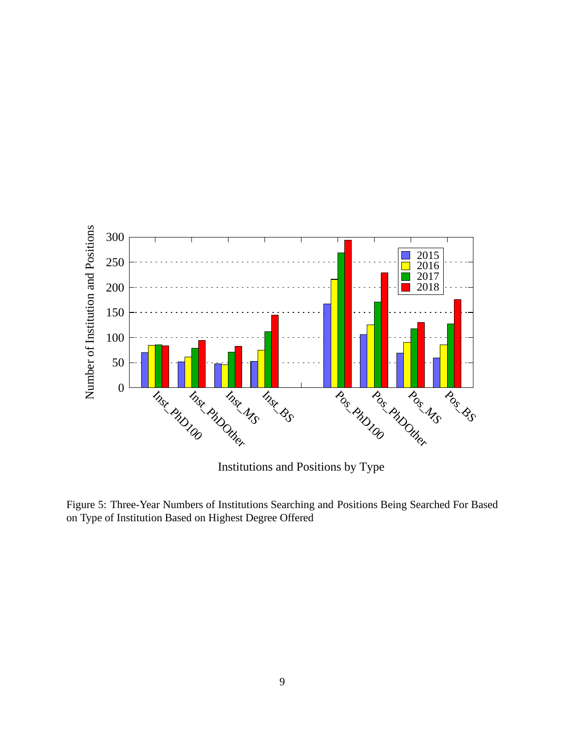

Institutions and Positions by Type

Figure 5: Three-Year Numbers of Institutions Searching and Positions Being Searched For Based on Type of Institution Based on Highest Degree Offered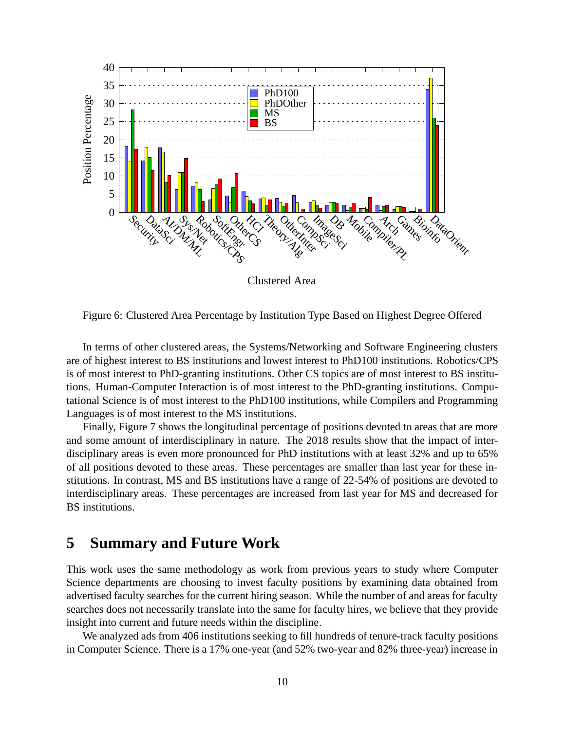

Figure 6: Clustered Area Percentage by Institution Type Based on Highest Degree Offered

In terms of other clustered areas, the Systems/Networking and Software Engineering clusters are of highest interest to BS institutions and lowest interest to PhD100 institutions. Robotics/CPS is of most interest to PhD-granting institutions. Other CS topics are of most interest to BS institutions. Human-Computer Interaction is of most interest to the PhD-granting institutions. Computational Science is of most interest to the PhD100 institutions, while Compilers and Programming Languages is of most interest to the MS institutions.

Finally, Figure 7 shows the longitudinal percentage of positions devoted to areas that are more and some amount of interdisciplinary in nature. The 2018 results show that the impact of interdisciplinary areas is even more pronounced for PhD institutions with at least 32% and up to 65% of all positions devoted to these areas. These percentages are smaller than last year for these institutions. In contrast, MS and BS institutions have a range of 22-54% of positions are devoted to interdisciplinary areas. These percentages are increased from last year for MS and decreased for BS institutions.

### **5 Summary and Future Work**

This work uses the same methodology as work from previous years to study where Computer Science departments are choosing to invest faculty positions by examining data obtained from advertised faculty searches for the current hiring season. While the number of and areas for faculty searches does not necessarily translate into the same for faculty hires, we believe that they provide insight into current and future needs within the discipline.

We analyzed ads from 406 institutions seeking to fill hundreds of tenure-track faculty positions in Computer Science. There is a 17% one-year (and 52% two-year and 82% three-year) increase in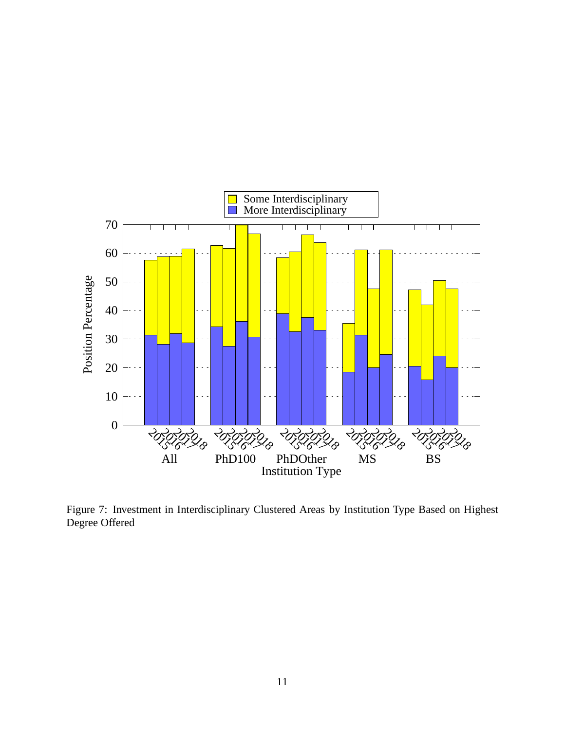

Figure 7: Investment in Interdisciplinary Clustered Areas by Institution Type Based on Highest Degree Offered